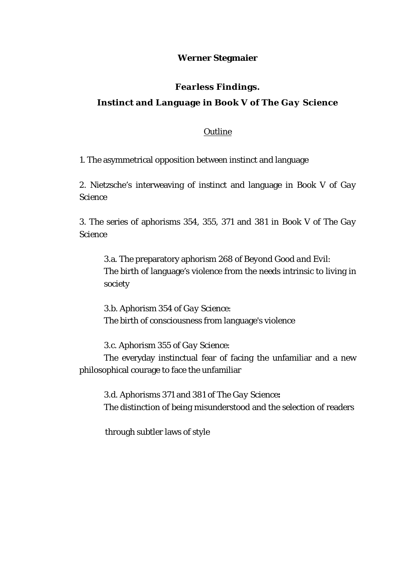# **Werner Stegmaier**

# **Fearless Findings.**

# **Instinct and Language in Book V of** *The Gay Science*

# Outline

1. The asymmetrical opposition between instinct and language

2. Nietzsche's interweaving of instinct and language in Book V of *Gay Science*

3. The series of aphorisms 354, 355, 371 and 381 in Book V of *The Gay Science*

3.a. The preparatory aphorism 268 of *Beyond Good and Evil*: The birth of language's violence from the needs intrinsic to living in society

3.b. Aphorism 354 of *Gay Science*: The birth of consciousness from language's violence

3.c. Aphorism 355 of *Gay Science*:

The everyday instinctual fear of facing the unfamiliar and a new philosophical courage to face the unfamiliar

3.d. Aphorisms 371 and 381 of *The Gay Science***:** The distinction of being misunderstood and the selection of readers

through subtler laws of style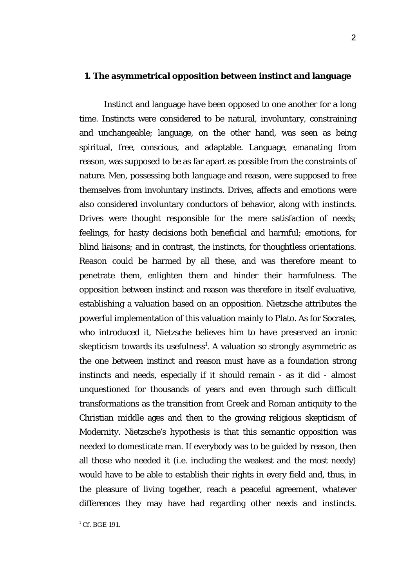### **1. The asymmetrical opposition between instinct and language**

Instinct and language have been opposed to one another for a long time. Instincts were considered to be natural, involuntary, constraining and unchangeable; language, on the other hand, was seen as being spiritual, free, conscious, and adaptable. Language, emanating from reason, was supposed to be as far apart as possible from the constraints of nature. Men, possessing both language and reason, were supposed to free themselves from involuntary instincts. Drives, affects and emotions were also considered involuntary conductors of behavior, along with instincts. Drives were thought responsible for the mere satisfaction of needs; feelings, for hasty decisions both beneficial and harmful; emotions, for blind liaisons; and in contrast, the instincts, for thoughtless orientations. Reason could be harmed by all these, and was therefore meant to penetrate them, enlighten them and hinder their harmfulness. The opposition between instinct and reason was therefore in itself evaluative, establishing a valuation based on an opposition. Nietzsche attributes the powerful implementation of this valuation mainly to Plato. As for Socrates, who introduced it, Nietzsche believes him to have preserved an ironic skepticism towards its usefulness $^{\rm l}$ . A valuation so strongly asymmetric as the one between instinct and reason must have as a foundation strong instincts and needs, especially if it should remain - as it did - almost unquestioned for thousands of years and even through such difficult transformations as the transition from Greek and Roman antiquity to the Christian middle ages and then to the growing religious skepticism of Modernity. Nietzsche's hypothesis is that this semantic opposition was needed to domesticate man. If everybody was to be guided by reason, then all those who needed it (i.e. including the weakest and the most needy) would have to be able to establish their rights in every field and, thus, in the pleasure of living together, reach a peaceful agreement, whatever differences they may have had regarding other needs and instincts.

 $^1$  Cf. BGE 191.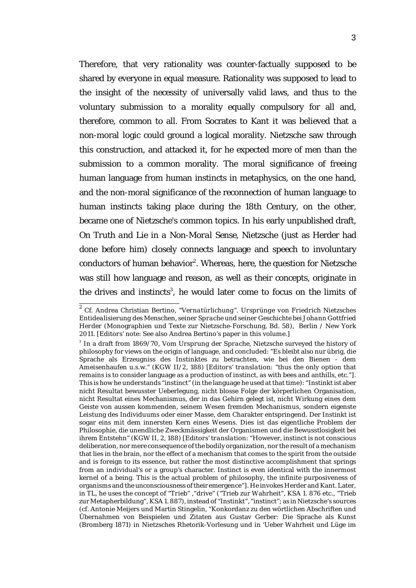Therefore, that very rationality was counter-factually supposed to be shared by everyone in equal measure. Rationality was supposed to lead to the insight of the necessity of universally valid laws, and thus to the voluntary submission to a morality equally compulsory for all and, therefore, common to all. From Socrates to Kant it was believed that a non-moral logic could ground a logical morality. Nietzsche saw through this construction, and attacked it, for he expected more of men than the submission to a common morality. The moral significance of freeing human language from human instincts in metaphysics, on the one hand, and the non-moral significance of the reconnection of human language to human instincts taking place during the 18th Century, on the other, became one of Nietzsche's common topics. In his early unpublished draft, *On Truth and Lie in a Non-Moral Sense*, Nietzsche (just as Herder had done before him) closely connects language and speech to involuntary conductors of human behavior<sup>2</sup>. Whereas, here, the question for Nietzsche was still how language and reason, as well as their concepts, originate in the drives and instincts<sup>3</sup>, he would later come to focus on the limits of

<sup>&</sup>lt;sup>2</sup> Cf. Andrea Christian Bertino, "*Vernatürlichung". Ursprünge von Friedrich Nietzsches Entidealisierung des Menschen, seiner Sprache und seiner Geschichte bei Johann Gottfried Herder* (Monographien und Texte zur Nietzsche-Forschung, Bd. 58), Berlin / New York 2011. [*Editors' note*: See also Andrea Bertino's paper in this volume.]

<sup>&</sup>lt;sup>3</sup> In a draft from 1869/70, *Vom Ursprung der Sprache*, Nietzsche surveyed the history of philosophy for views on the origin of language, and concluded: "Es bleibt also nur übrig, die Sprache als Erzeugniss des Instinktes zu betrachten, wie bei den Bienen - dem Ameisenhaufen u.s.w." (KGW II/2, 188) [*Editors' translation*: "thus the only option that remains is to consider language as a production of instinct, as with bees and anthills, etc."]. This is how he understands "instinct" (in the language he used at that time): "Instinkt ist aber nicht Resultat bewusster Ueberlegung, nicht blosse Folge der körperlichen Organisation, nicht Resultat eines Mechanismus, der in das Gehirn gelegt ist, nicht Wirkung eines dem Geiste von aussen kommenden, seinem Wesen fremden Mechanismus, sondern eigenste Leistung des Individuums oder einer Masse, dem Charakter entspringend. Der Instinkt ist sogar eins mit dem innersten Kern eines Wesens. Dies ist das eigentliche Problem der Philosophie, die unendliche Zweckmässigkeit der Organismen und die Bewusstlosigkeit bei ihrem Entstehn" (KGW II, 2, 188) [*Editors' translation*: "However, instinct is *not* conscious deliberation, nor mere consequence of the bodily organization, nor the result of a mechanism that lies in the brain, nor the effect of a mechanism that comes to the spirit from the outside and is foreign to its essence, but rather the most distinctive accomplishment that springs from an individual's or a group's character. Instinct is even identical with the innermost kernel of a being. This is the actual problem of philosophy, the infinite purposiveness of organisms and the unconsciousness of their emergence"]. He invokes Herder and Kant. Later, in TL, he uses the concept of "*Trieb*" ,"drive" ("Trieb zur Wahrheit", KSA 1. 876 etc., "Trieb zur Metapherbildung", KSA 1. 887), instead of "*Instinkt*", "instinct"; as in Nietzsche's sources (cf. Antonie Meijers und Martin Stingelin, "Konkordanz zu den wörtlichen Abschriften und Übernahmen von Beispielen und Zitaten aus Gustav Gerber: Die Sprache als Kunst (Bromberg 1871) in Nietzsches Rhetorik-Vorlesung und in 'Ueber Wahrheit und Lüge im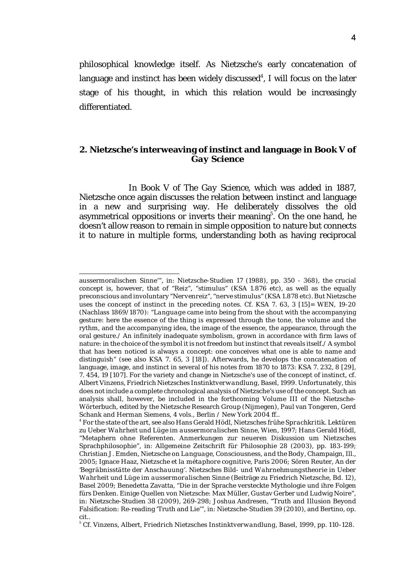philosophical knowledge itself. As Nietzsche's early concatenation of language and instinct has been widely discussed<sup>4</sup>, I will focus on the later stage of his thought, in which this relation would be increasingly differentiated.

## **2. Nietzsche's interweaving of instinct and language in Book V of** *Gay Science*

In Book V of *The Gay Science,* which was added in 1887, Nietzsche once again discusses the relation between instinct and language in a new and surprising way. He deliberately dissolves the old asymmetrical oppositions or inverts their meaning<sup>5</sup>. On the one hand, he doesn't allow reason to remain in simple opposition to nature but connects it to nature in multiple forms, understanding both as having reciprocal

aussermoralischen Sinne'", in: *Nietzsche-Studien* 17 (1988), pp. 350 - 368), the crucial concept is, however, that of "*Reiz*", "stimulus" (KSA 1.876 etc), as well as the equally preconscious and involuntary "*Nervenreiz*", "nerve stimulus" (KSA 1.878 etc). But Nietzsche uses the concept of instinct in the preceding notes. Cf. KSA 7. 63, 3 [15]= WEN, 19-20 (Nachlass 1869/1870): "*Language* came into being from the shout with the accompanying gesture: here the essence of the thing is expressed through the tone, the volume and the rythm, and the accompanying idea, the image of the essence, the appearance, through the oral gesture./ An infinitely inadequate symbolism, grown in accordance with firm laws of nature: in the choice of the symbol it is not freedom but instinct that reveals itself./ A symbol that has been *noticed* is always a concept: one conceives what one is able to name and distinguish" (see also KSA 7. 65, 3 [18]). Afterwards, he develops the concatenation of language, image, and instinct in several of his notes from 1870 to 1873: KSA 7. 232, 8 [29], 7. 454, 19 [107]. For the variety and change in Nietzsche's use of the concept of instinct, cf. Albert Vinzens, *Friedrich Nietzsches Instinktverwandlung*, Basel, 1999. Unfortunately, this does not include a complete chronological analysis of Nietzsche's use of the concept. Such an analysis shall, however, be included in the forthcoming Volume III of the Nietzsche-Wörterbuch, edited by the Nietzsche Research Group (Nijmegen), Paul van Tongeren, Gerd Schank and Herman Siemens, 4 vols., Berlin / New York 2004 ff..

For the state of the art, see also Hans Gerald Hödl, *Nietzsches frühe Sprachkritik. Lektüren* <sup>4</sup> *zu Ueber Wahrheit und Lüge im aussermoralischen Sinne*, Wien, 1997; Hans Gerald Hödl, "Metaphern ohne Referenten. Anmerkungen zur neueren Diskussion um Nietzsches Sprachphilosophie", in: *Allgemeine Zeitschrift für Philosophie* 28 (2003), pp. 183-199; Christian J. Emden, *Nietzsche on Language, Consciousness, and the Body*, Champaign, Ill., 2005; Ignace Haaz, *Nietzsche et la métaphore cognitive*, Paris 2006; Sören Reuter, *An der 'Begräbnisstätte der Anschauung'. Nietzsches Bild- und Wahrnehmungstheorie in Ueber Wahrheit und Lüge im aussermoralischen Sinne* (Beiträge zu Friedrich Nietzsche, Bd. 12), Basel 2009; Benedetta Zavatta, "Die in der Sprache versteckte Mythologie und ihre Folgen fürs Denken. Einige Quellen von Nietzsche: Max Müller, Gustav Gerber und Ludwig Noire", in: *Nietzsche-Studien* 38 (2009), 269-298; Joshua Andresen, "Truth and Illusion Beyond Falsification: Re-reading 'Truth and Lie'", in: *Nietzsche-Studien* 39 (2010), and Bertino, op. cit..

<sup>&</sup>lt;sup>5</sup> Cf. Vinzens, Albert, *Friedrich Nietzsches Instinktverwandlung*, Basel, 1999, pp. 110-128.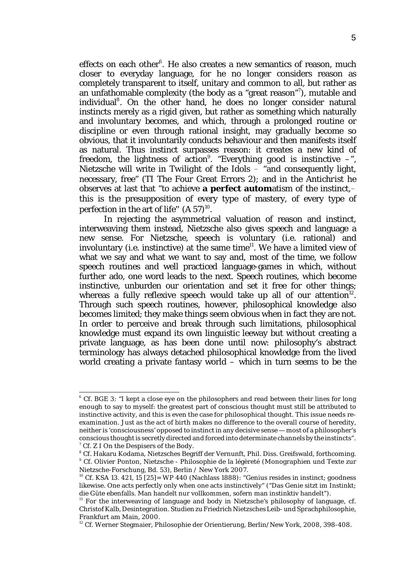effects on each other<sup>6</sup>. He also creates a new semantics of reason, much closer to everyday language, for he no longer considers reason as completely transparent to itself, unitary and common to all, but rather as an unfathomable complexity (the body as a "great reason"), mutable and individual<sup>8</sup>. On the other hand, he does no longer consider natural instincts merely as a rigid *given*, but rather as something which naturally and involuntary *becomes*, and which, through a prolonged routine or discipline or even through rational insight, may gradually become so obvious, that it involuntarily conducts behaviour and then manifests itself as natural. Thus instinct surpasses reason: it creates a new kind of freedom, the lightness of action<sup>9</sup>. "Everything *good* is instinctive  $-$ ", Nietzsche will write in *Twilight of the Idols* - "and consequently light, necessary, free" (TI The Four Great Errors 2); and in the *Antichrist* he observes at last that "to achieve a perfect automatism of the instinct,this is the presupposition of every type of mastery, of every type of perfection in the art of life"  $(A 57)^{10}$ .

In rejecting the asymmetrical valuation of reason and instinct, interweaving them instead, Nietzsche also gives speech and language a new sense. For Nietzsche, speech is voluntary (i.e. rational) and involuntary (i.e. instinctive) at the same time<sup>11</sup>. We have a limited view of what we say and what we want to say and, most of the time, we follow speech routines and well practiced language-games in which, without further ado, one word leads to the next. Speech routines, which become instinctive, unburden our orientation and set it free for other things; whereas a fully reflexive speech would take up all of our attention<sup>12</sup>. Through such speech routines, however, philosophical knowledge also becomes limited; they make things seem obvious when in fact they are not. In order to perceive and break through such limitations, philosophical knowledge must expand its own linguistic leeway but without creating a private language, as has been done until now: philosophy's abstract terminology has always detached philosophical knowledge from the lived world creating a private fantasy world – which in turn seems to be the

 $6$  Cf. BGE 3: "I kept a close eye on the philosophers and read between their lines for long enough to say to myself: the greatest part of conscious thought must still be attributed to instinctive activity, and this is even the case for philosophical thought. This issue needs reexamination. Just as the act of birth makes no difference to the overall course of heredity, neither is 'consciousness' *opposed* to instinct in any decisive sense — most of a philosopher's conscious thought is secretly directed and forced into determinate channels by the instincts".  $^7$  Cf. Z I On the Despisers of the Body.

<sup>&</sup>lt;sup>8</sup> Cf. Hakaru Kodama, Nietzsches Begriff der Vernunft, Phil. Diss. Greifswald, forthcoming. <sup>9</sup> Cf. Olivier Ponton, Nietzsche - Philosophie de la légèreté (Monographien und Texte zur Nietzsche-Forschung, Bd. 53), Berlin / New York 2007.

<sup>&</sup>lt;sup>10</sup> Cf. KSA 13. 421, 15  $[25]$  = WP 440 (Nachlass 1888): "Genius resides in instinct; goodness likewise. One acts perfectly only when one acts instinctively" ("Das Genie sitzt im Instinkt; die Güte ebenfalls. Man handelt nur vollkommen, sofern man instinktiv handelt").

 $11$  For the interweaving of language and body in Nietzsche's philosophy of language, cf. Christof Kalb, Desintegration. Studien zu Friedrich Nietzsches Leib- und Sprachphilosophie, Frankfurt am Main, 2000.

<sup>&</sup>lt;sup>12</sup> Cf. Werner Stegmaier, Philosophie der Orientierung, Berlin/New York, 2008, 398-408.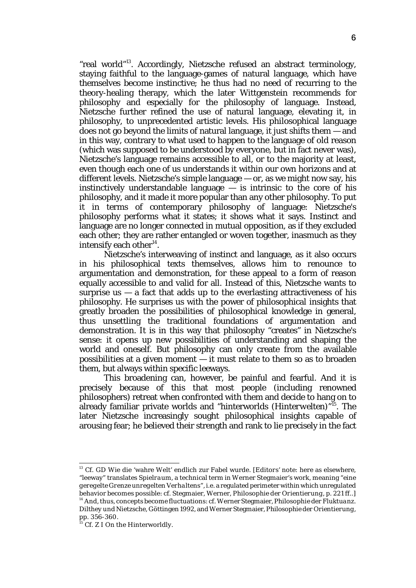"real world"<sup>13</sup>. Accordingly, Nietzsche refused an abstract terminology, staying faithful to the language-games of natural language, which have themselves become instinctive; he thus had no need of recurring to the theory-healing therapy, which the later Wittgenstein recommends for philosophy and especially for the philosophy of language. Instead, Nietzsche further refined the use of natural language, elevating it, in philosophy, to unprecedented artistic levels. His philosophical language does not go beyond the limits of natural language, it just shifts them — and in this way, contrary to what used to happen to the language of old reason (which was supposed to be understood by everyone, but in fact never was), Nietzsche's language remains accessible to all, or to the majority at least, even though each one of us understands it within our own horizons and at different levels. Nietzsche's simple language — or, as we might now say, his instinctively understandable language  $-$  is intrinsic to the core of his philosophy, and it made it more popular than any other philosophy. To put it in terms of contemporary philosophy of language: Nietzsche's philosophy performs what it states; it shows what it says. Instinct and language are no longer connected in mutual opposition, as if they excluded each other; they are rather entangled or woven together, inasmuch as they intensify each other $14$ .

Nietzsche's interweaving of instinct and language, as it also occurs in his philosophical texts themselves, allows him to renounce to argumentation and demonstration, for these appeal to a form of reason equally accessible to and valid for all. Instead of this, Nietzsche wants to surprise us  $-$  a fact that adds up to the everlasting attractiveness of his philosophy. He surprises us with the power of philosophical insights that greatly broaden the possibilities of philosophical knowledge in general, thus unsettling the traditional foundations of argumentation and demonstration. It is in this way that philosophy "creates" in Nietzsche's sense: it opens up new possibilities of understanding and shaping the world and oneself. But philosophy can only create from the available possibilities at a given moment — it must relate to them so as to broaden them, but always within specific leeways.

This broadening can, however, be painful and fearful. And it is precisely because of this that most people (including renowned philosophers) retreat when confronted with them and decide to hang on to already familiar private worlds and "hinterworlds (*Hinterwelten*)"<sup>15</sup>. The later Nietzsche increasingly sought philosophical insights capable of arousing fear; he believed their strength and rank to lie precisely in the fact

Cf. GD Wie die 'wahre Welt' endlich zur Fabel wurde. [*Editors' note*: here as elsewhere, 13 "leeway" translates *Spielraum*, a technical term in Werner Stegmaier's work, meaning "*eine geregelte Grenze unregelten Verhaltens*", i.e. a regulated perimeter within which unregulated behavior becomes possible: cf. Stegmaier, Werner, *Philosophie der Orientierung*, p. 221 ff..] <sup>14</sup> And, thus, concepts become fluctuations: cf. Werner Stegmaier, *Philosophie der Fluktuanz. Dilthey und Nietzsche*, Göttingen 1992, and Werner Stegmaier, *Philosophie der Orientierung*, pp.  $356-360$ .

Cf. Z I On the Hinterworldly.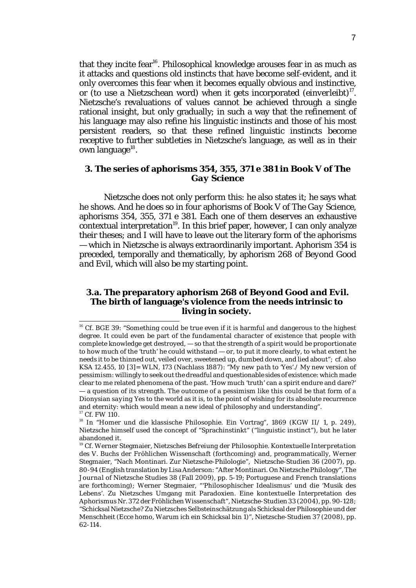that they incite fear<sup>16</sup>. Philosophical knowledge arouses fear in as much as it attacks and questions old instincts that have become self-evident, and it only overcomes this fear when it becomes equally obvious and instinctive, or (to use a Nietzschean word) when it gets incorporated (*einverleibt*)<sup>17</sup>. Nietzsche's revaluations of values cannot be achieved through a single rational insight, but only gradually; in such a way that the refinement of his language may also refine his linguistic instincts and those of his most persistent readers, so that these refined linguistic instincts become receptive to further subtleties in Nietzsche's language, as well as in their own language<sup>18</sup>.

## **3. The series of aphorisms 354, 355, 371 e 381 in Book V of** *The Gay Science*

Nietzsche does not only perform this: he also states it; he says what he shows. And he does so in four aphorisms of Book V of *The Gay Science*, aphorisms 354, 355, 371 e 381. Each one of them deserves an exhaustive contextual interpretation<sup>19</sup>. In this brief paper, however, I can only analyze their theses; and I will have to leave out the literary form of the aphorisms — which in Nietzsche is always extraordinarily important. Aphorism 354 is preceded, temporally and thematically, by aphorism 268 of *Beyond Good and Evil*, which will also be my starting point.

### **3.a. The preparatory aphorism 268 of** *Beyond Good and Evil***. The birth of language's violence from the needs intrinsic to living in society.**

<sup>&</sup>lt;sup>16</sup> Cf. BGE 39: "Something could be true even if it is harmful and dangerous to the highest degree. It could even be part of the fundamental character of existence that people with complete knowledge get destroyed, — so that the strength of a spirit would be proportionate to how much of the 'truth' he could withstand — or, to put it more clearly, to what extent he *needs* it to be thinned out, veiled over, sweetened up, dumbed down, and lied about"; cf. also KSA 12.455, 10 [3]= WLN, 173 (Nachlass 1887): "*My new path to 'Yes'*./ My new version of *pessimism*: willingly to seek out the dreadful and questionable sides of existence: which made clear to me related phenomena of the past. 'How much 'truth' can a spirit endure and dare?' — a question of its strength. The *outcome* of a pessimism like this *could be* that form of a Dionysian *saying Yes* to the world as it is, to the point of wishing for its absolute recurrence and eternity: which would mean a new ideal of philosophy and understanding".  $17$  Cf. FW 110.

<sup>&</sup>lt;sup>18</sup> In "Homer und die klassische Philosophie. Ein Vortrag", 1869 (KGW II/ 1, p. 249), Nietzsche himself used the concept of "Sprachinstinkt" ("linguistic instinct"), but he later abandoned it.

<sup>&</sup>lt;sup>19</sup> Cf. Werner Stegmaier, *Nietzsches Befreiung der Philosophie. Kontextuelle Interpretation des V. Buchs der Fröhlichen Wissenschaft* (forthcoming) and, programmatically, Werner Stegmaier, "Nach Montinari. Zur Nietzsche-Philologie", *Nietzsche-Studien* 36 (2007), pp. 80-94 (English translation by Lisa Anderson: "After Montinari. On Nietzsche Philology", *The Journal of Nietzsche Studies* 38 (Fall 2009), pp. 5-19; Portuguese and French translations are forthcoming); Werner Stegmaier, "'Philosophischer Idealismus' und die 'Musik des Lebens'. Zu Nietzsches Umgang mit Paradoxien. Eine kontextuelle Interpretation des Aphorismus Nr. 372 der Fröhlichen Wissenschaft", *Nietzsche-Studien* 33 (2004), pp. 90-128; "Schicksal Nietzsche? Zu Nietzsches Selbsteinschätzung als Schicksal der Philosophie und der Menschheit (Ecce homo, Warum ich ein Schicksal bin 1)", *Nietzsche-Studien* 37 (2008), pp. 62-114.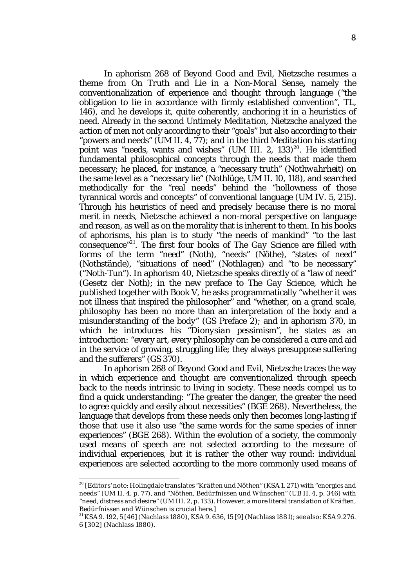In aphorism 268 of *Beyond Good and Evil,* Nietzsche resumes a theme from *On Truth and Lie in a Non-Moral Sense***,** namely the conventionalization of experience and thought through language ("the obligation to lie in accordance with firmly established convention", TL, 146), and he develops it, quite coherently, anchoring it in a heuristics of need. Already in the second *Untimely Meditation,* Nietzsche analyzed the action of men not only according to their "goals" but also according to their "powers and needs" (UM II. 4, 77); and in the third *Meditation* his starting point was "needs, wants and wishes" (UM III. 2,  $133$ )<sup>20</sup>. He identified fundamental philosophical concepts through the needs that made them necessary; he placed, for instance, a "necessary truth" (*Nothwahrheit*) on the same level as a "necessary lie" (*Nothlüge*, UM II. 10, 118), and searched methodically for the "real needs" behind the "hollowness of those tyrannical words and concepts" of conventional language (UM IV. 5, 215). Through his heuristics of need and precisely because there is no moral merit in needs, Nietzsche achieved a non-moral perspective on language and reason, as well as on the morality that is inherent to them. In his books of aphorisms, his plan is to study "the needs of mankind" "to the last consequence<sup>"21</sup>. The first four books of *The Gay Science* are filled with forms of the term "need" (*Noth*), "needs" (*Nöthe*), "states of need" (*Nothstände*), "situations of need" (*Nothlagen*) and "to be necessary" ("*Noth-Tun*"). In aphorism 40, Nietzsche speaks directly of a "law of need" (*Gesetz der Noth*); in the new preface to *The Gay Science*, which he published together with Book V, he asks programmatically "whether it was not illness that inspired the philosopher" and "whether, on a grand scale, philosophy has been no more than an interpretation of the body and a *misunderstanding of the body*" (GS Preface 2); and in aphorism 370, in which he introduces his "*Dionysian* pessimism", he states as an introduction: "every art, every philosophy can be considered a cure and aid in the service of growing, struggling life; they always presuppose suffering and the sufferers" (GS 370).

In aphorism 268 of *Beyond Good and Evil*, Nietzsche traces the way in which experience and thought are conventionalized through speech back to the needs intrinsic to living in society. These needs compel us to find a quick understanding: "The greater the danger, the greater the need to agree quickly and easily about necessities" (BGE 268). Nevertheless, the language that develops from these needs only then becomes long-lasting if those that use it also use "the same words for the same species of inner experiences" (BGE 268). Within the evolution of a society, the commonly used means of speech are not selected according to the measure of individual experiences, but it is rather the other way round: individual experiences are selected according to the more commonly used means of

<sup>&</sup>lt;sup>20</sup> [*Editors' note*: Holingdale translates "*Kräften und Nöthen*" (KSA 1.271) with "energies and needs" (UM II. 4, p. 77), and "*Nöthen, Bedürfnissen und Wünschen*" (UB II. 4, p. 346) with "need, distress and desire" (UM III. 2, p. 133). However, a more literal translation of *Kräften, Bedürfnissen* and *Wünschen* is crucial here.]

 $^{21}$  KSA 9. 192, 5 [46] (Nachlass 1880), KSA 9. 636, 15 [9] (Nachlass 1881); see also: KSA 9.276. 6 [302] (Nachlass 1880).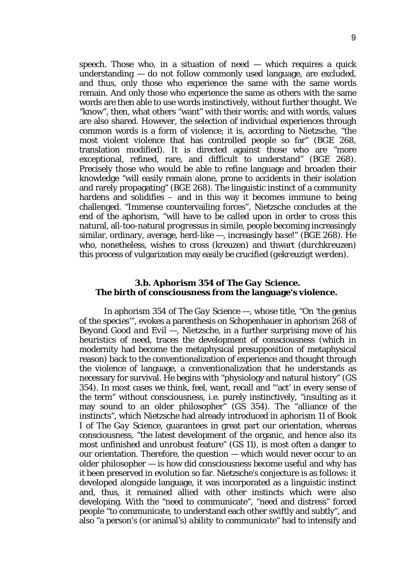speech. Those who, in a situation of need  $-$  which requires a quick understanding — do not follow commonly used language, are excluded, and thus, only those who experience the same with the same words remain. And only those who experience the same as others with the same words are then able to use words instinctively, without further thought. We "know", then, what others "want" with their words; and with words, values are also shared. However, the selection of individual experiences through common words is a form of violence; it is, according to Nietzsche, "the most violent violence that has controlled people so far" (BGE 268, translation modified). It is directed against those who are "more exceptional, refined, rare, and difficult to understand" (BGE 268). Precisely those who would be able to refine language and broaden their knowledge "will easily remain alone, prone to accidents in their isolation and rarely propagating" (BGE 268). The linguistic instinct of a community hardens and solidifies – and in this way it becomes immune to being challenged. "Immense countervailing forces", Nietzsche concludes at the end of the aphorism, "will have to be called upon in order to cross this natural, all-too-natural *progressus in simile*, people becoming increasingly similar, ordinary, average, herd-like —, increasingly *base*!" (BGE 268). He who, nonetheless, wishes to cross (*kreuzen*) and thwart (*durchkreuzen*) this process of vulgarization may easily be crucified (*gekreuzigt werden*).

### **3.b. Aphorism 354 of** *The Gay Science***. The birth of consciousness from the language's violence.**

In aphorism 354 of *The Gay Science* —, whose title, "On 'the genius of the species'", evokes a parenthesis on Schopenhauer in aphorism 268 of *Beyond Good and Evil* —, Nietzsche, in a further surprising move of his heuristics of need, traces the development of consciousness (which in modernity had become the metaphysical presupposition of metaphysical reason) back to the conventionalization of experience and thought through the violence of language, a conventionalization that he understands as necessary for survival. He begins with "physiology and natural history" (GS 354). In most cases we think, feel, want, recall and "'act' in every sense of the term" without consciousness, i.e. purely instinctively, "insulting as it may sound to an older philosopher" (GS 354). The "alliance of the instincts", which Nietzsche had already introduced in aphorism 11 of Book I of *The Gay Science*, guarantees in great part our orientation, whereas consciousness, "the latest development of the organic, and hence also its most unfinished and unrobust feature" (GS 11), is most often a danger to our orientation. Therefore, the question — which would never occur to an older philosopher — is how did consciousness become useful and why has it been preserved in evolution so far. Nietzsche's conjecture is as follows: it developed alongside language, it was incorporated as a linguistic instinct and, thus, it remained allied with other instincts which were also developing. With the "need to communicate", "need and distress" forced people "to communicate, to understand each other swiftly and subtly", and also "a person's (or animal's) *ability to communicate*" had to intensify and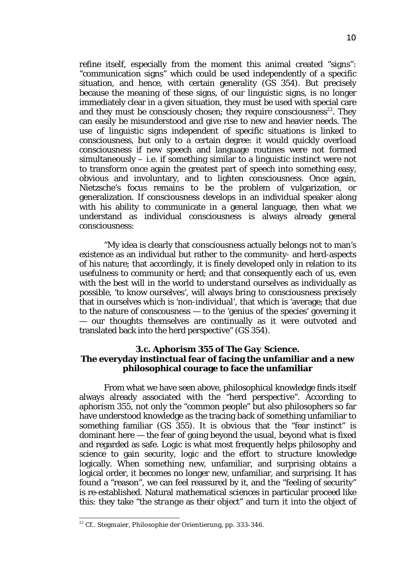refine itself, especially from the moment this animal created "signs": "communication signs" which could be used independently of a specific situation, and hence, with certain generality (GS 354). But precisely because the meaning of these signs, of our linguistic signs, is no longer immediately clear in a given situation, they must be used with special care and they must be consciously chosen; they require consciousness<sup>22</sup>. They can easily be misunderstood and give rise to new and heavier needs. The use of linguistic signs independent of specific situations is linked to consciousness, but only to a certain degree: it would quickly overload consciousness if new speech and language routines were not formed simultaneously  $-$  i.e. if something similar to a linguistic instinct were not to transform once again the greatest part of speech into something easy, obvious and involuntary, and to lighten consciousness. Once again, Nietzsche's focus remains to be the problem of vulgarization, or generalization. If consciousness develops in an individual speaker along with his ability to communicate in a general language, then what we understand as individual consciousness is always already general consciousness:

"My idea is clearly that consciousness actually belongs not to man's existence as an individual but rather to the community- and herd-aspects of his nature; that accordingly, it is finely developed only in relation to its usefulness to community or herd; and that consequently each of us, even with the best will in the world to *understand* ourselves as individually as possible, 'to know ourselves', will always bring to consciousness precisely that in ourselves which is 'non-individual', that which is 'average; that due to the nature of conscousness — to the 'genius of the species' governing it — our thoughts themselves are continually as it were *outvoted* and translated back into the herd perspective" (GS 354).

### **3.c. Aphorism 355 of** *The Gay Science.* **The everyday instinctual fear of facing the unfamiliar and a new philosophical courage to face the unfamiliar**

From what we have seen above, philosophical knowledge finds itself always already associated with the "herd perspective". According to aphorism 355, not only the "common people" but also philosophers so far have understood knowledge as the tracing back of something unfamiliar to something familiar (GS 355). It is obvious that the "fear instinct" is dominant here — the fear of going beyond the usual, beyond what is fixed and regarded as safe. Logic is what most frequently helps philosophy and science to gain security, logic and the effort to structure knowledge logically. When something new, unfamiliar, and surprising obtains a logical order, it becomes no longer new, unfamiliar, and surprising. It has found a "reason", we can feel reassured by it, and the "feeling of security" is re-established. Natural mathematical sciences in particular proceed like this: they take "the *strange* as their object" and turn it into the object of

 $^{22}$  Cf.. Stegmaier, Philosophie der Orientierung, pp. 333-346.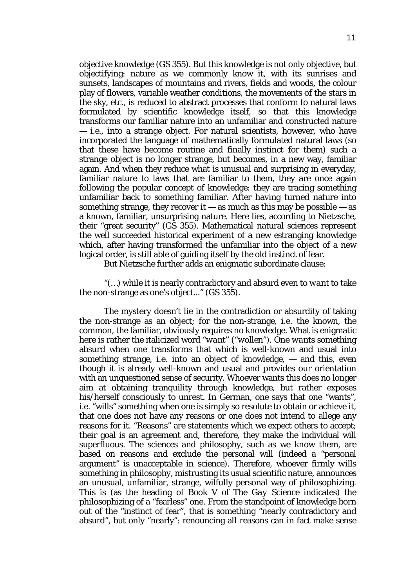objective knowledge (GS 355). But this knowledge is not only objective, but objectifying: nature as we commonly know it, with its sunrises and sunsets, landscapes of mountains and rivers, fields and woods, the colour play of flowers, variable weather conditions, the movements of the stars in the sky, etc., is reduced to abstract processes that conform to natural laws formulated by scientific knowledge itself, so that this knowledge transforms our familiar nature into an unfamiliar and constructed nature — i.e., into a strange object. For natural scientists, however, who have incorporated the language of mathematically formulated natural laws (so that these have become routine and finally instinct for them) such a strange object is no longer strange, but becomes, in a new way, familiar again. And when they reduce what is unusual and surprising in everyday, familiar nature to laws that are familiar *to them*, they are once again following the popular concept of knowledge: they are tracing something unfamiliar back to something familiar. After having turned nature into something strange, they recover it  $-$  as much as this may be possible  $-$  as a known, familiar, unsurprising nature. Here lies, according to Nietzsche, their "great security" (GS 355). Mathematical natural sciences represent the well succeeded historical experiment of a new estranging knowledge which, after having transformed the unfamiliar into the object of a new logical order, is still able of guiding itself by the old instinct of fear.

But Nietzsche further adds an enigmatic subordinate clause:

"(…) while it is nearly contradictory and absurd even to *want* to take the non-strange as one's object..." (GS 355).

The mystery doesn't lie in the contradiction or absurdity of taking the non-strange as an object; for the non-strange, i.e. the known, the common, the familiar, obviously requires no knowledge. What is enigmatic here is rather the italicized word "*want*" ("*wollen*"). One *wants* something absurd when one transforms that which is well-known and usual into something strange, i.e. into an object of knowledge,  $-$  and this, even though it is already well-known and usual and provides our orientation with an unquestioned sense of security. Whoever wants this does no longer aim at obtaining tranquility through knowledge, but rather exposes his/herself consciously to unrest. In German, one says that one "wants", i.e. "wills" something when one is simply so resolute to obtain or achieve it, that one does not have any reasons or one does not intend to allege any reasons for it. "Reasons" are statements which we expect others to accept; their goal is an agreement and, therefore, they make the individual will superfluous. The sciences and philosophy, such as we know them, are based on reasons and exclude the personal will (indeed a "personal argument" is unacceptable in science). Therefore, whoever firmly *wills* something in philosophy, mistrusting its usual scientific nature, announces an unusual, unfamiliar, strange, wilfully personal way of philosophizing. This is (as the heading of Book V of *The Gay Science* indicates) the philosophizing of a "fearless" one. From the standpoint of knowledge born out of the "instinct of fear", that is something "nearly contradictory and absurd", but only "nearly": renouncing all reasons can in fact make sense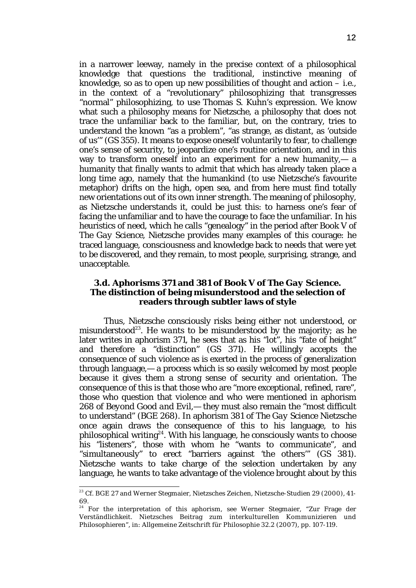in a narrower leeway, namely in the precise context of a philosophical knowledge that questions the traditional, instinctive meaning of knowledge, so as to open up new possibilities of thought and action  $-$  i.e., in the context of a "revolutionary" philosophizing that transgresses "normal" philosophizing, to use Thomas S. Kuhn's expression. We know what such a philosophy means for Nietzsche, a philosophy that does not trace the unfamiliar back to the familiar, but, on the contrary, tries to understand the known "as a problem", "as strange, as distant, as 'outside of us'" (GS 355). It means to expose oneself voluntarily to fear, to challenge one's sense of security, to jeopardize one's routine orientation, and in this way to transform oneself into an experiment for a new humanity,— a humanity that finally wants to admit that which has already taken place a long time ago, namely that the humankind (to use Nietzsche's favourite metaphor) drifts on the high, open sea, and from here must find totally new orientations out of its own inner strength. The meaning of philosophy, as Nietzsche understands it, could be just this: to harness one's fear of facing the unfamiliar and to have the courage to face the unfamiliar. In his heuristics of need, which he calls "genealogy" in the period after Book V of *The Gay Science*, Nietzsche provides many examples of this courage: he traced language, consciousness and knowledge back to needs that were yet to be discovered, and they remain, to most people, surprising, strange, and unacceptable.

## **3.d. Aphorisms 371 and 381 of Book V of** *The Gay Science***. The distinction of being misunderstood and the selection of readers through subtler laws of style**

Thus, Nietzsche consciously risks being either not understood, or misunderstood<sup>23</sup>. He *wants* to be misunderstood by the majority; as he later writes in aphorism 371, he sees that as his "lot", his "fate of height" and therefore a "distinction" (GS 371). He willingly accepts the consequence of such violence as is exerted in the process of generalization through language,— a process which is so easily welcomed by most people because it gives them a strong sense of security and orientation. The consequence of this is that those who are "more exceptional, refined, rare", those who question that violence and who were mentioned in aphorism 268 of *Beyond Good and Evil*,— they must also remain the "most difficult to understand" (BGE 268). In aphorism 381 of *The Gay Science* Nietzsche once again draws the consequence of this to *his* language, to *his* philosophical writing<sup>24</sup>. With his language, he consciously wants to choose his "listeners", those with whom he "wants to communicate", and "simultaneously" to erect "barriers against 'the others'" (GS 381). Nietzsche wants to take charge of the selection undertaken by any language, he wants to take advantage of the violence brought about by this

<sup>&</sup>lt;sup>23</sup> Cf. BGE 27 and Werner Stegmaier, Nietzsches Zeichen, *Nietzsche-Studien* 29 (2000), 41-69.

 $24$  For the interpretation of this aphorism, see Werner Stegmaier, "Zur Frage der Verständlichkeit. Nietzsches Beitrag zum interkulturellen Kommunizieren und Philosophieren", in: *Allgemeine Zeitschrift für Philosophie* 32.2 (2007), pp. 107-119.